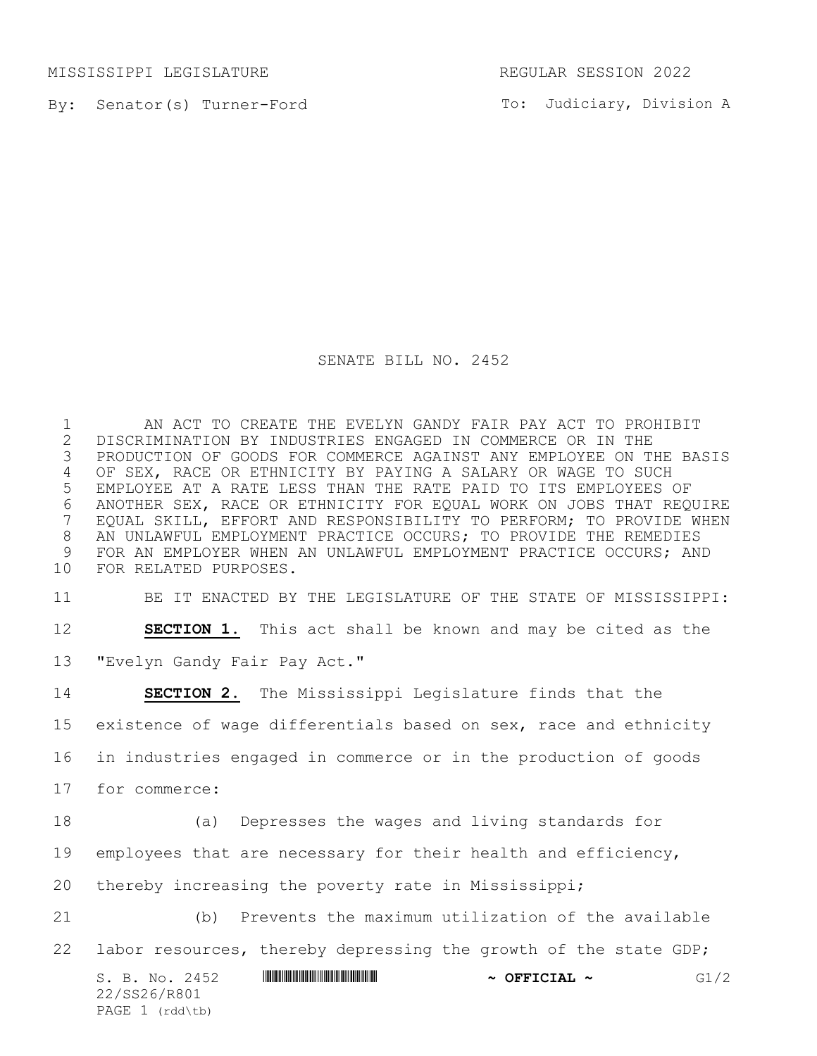MISSISSIPPI LEGISLATURE REGULAR SESSION 2022

22/SS26/R801 PAGE (rdd\tb)

By: Senator(s) Turner-Ford

To: Judiciary, Division A

## SENATE BILL NO. 2452

 AN ACT TO CREATE THE EVELYN GANDY FAIR PAY ACT TO PROHIBIT 2 DISCRIMINATION BY INDUSTRIES ENGAGED IN COMMERCE OR IN THE<br>3 PRODUCTION OF GOODS FOR COMMERCE AGAINST ANY EMPLOYEE ON T PRODUCTION OF GOODS FOR COMMERCE AGAINST ANY EMPLOYEE ON THE BASIS OF SEX, RACE OR ETHNICITY BY PAYING A SALARY OR WAGE TO SUCH EMPLOYEE AT A RATE LESS THAN THE RATE PAID TO ITS EMPLOYEES OF 6 ANOTHER SEX, RACE OR ETHNICITY FOR EQUAL WORK ON JOBS THAT REQUIRE<br>7 EQUAL SKILL, EFFORT AND RESPONSIBILITY TO PERFORM; TO PROVIDE WHEN EQUAL SKILL, EFFORT AND RESPONSIBILITY TO PERFORM; TO PROVIDE WHEN AN UNLAWFUL EMPLOYMENT PRACTICE OCCURS; TO PROVIDE THE REMEDIES FOR AN EMPLOYER WHEN AN UNLAWFUL EMPLOYMENT PRACTICE OCCURS; AND FOR RELATED PURPOSES.

BE IT ENACTED BY THE LEGISLATURE OF THE STATE OF MISSISSIPPI:

 **SECTION 1.** This act shall be known and may be cited as the "Evelyn Gandy Fair Pay Act."

S. B. No. 2452 **\*\*\* WINNING ASSECTED THE RESEAL**  $\sim$  **<b>GFFICIAL**  $\sim$  G1/2 **SECTION 2.** The Mississippi Legislature finds that the existence of wage differentials based on sex, race and ethnicity in industries engaged in commerce or in the production of goods for commerce: (a) Depresses the wages and living standards for employees that are necessary for their health and efficiency, thereby increasing the poverty rate in Mississippi; (b) Prevents the maximum utilization of the available 22 labor resources, thereby depressing the growth of the state GDP;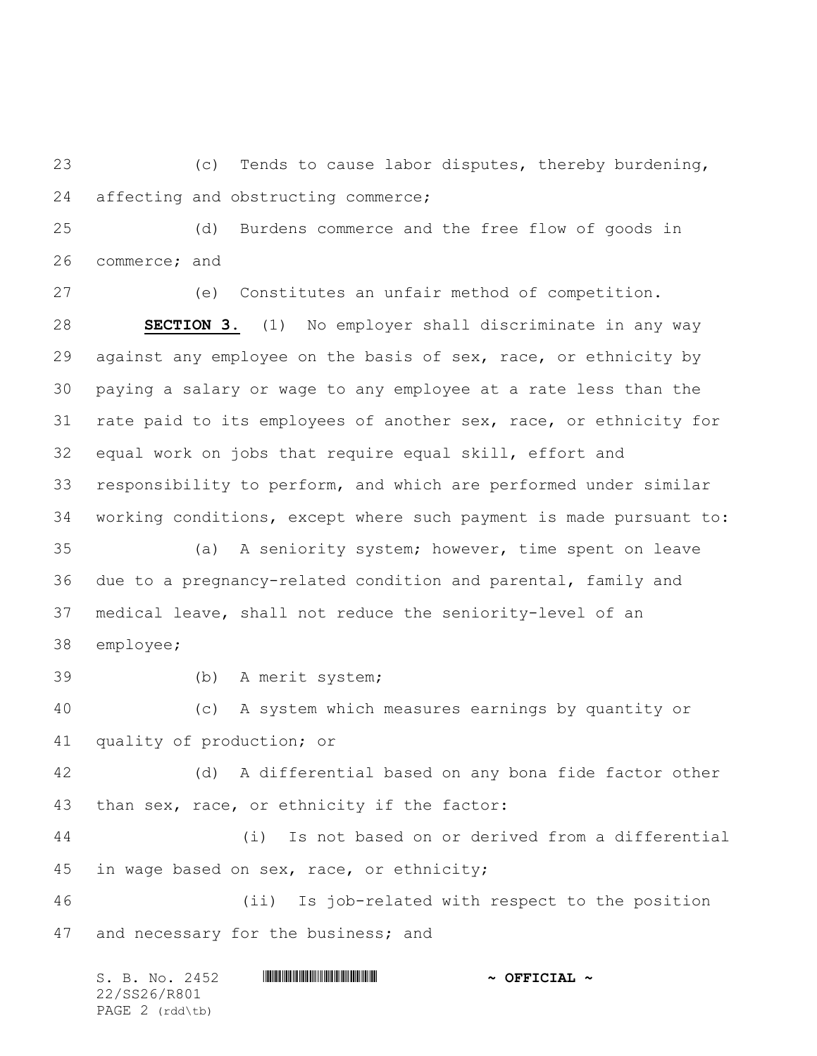(c) Tends to cause labor disputes, thereby burdening, affecting and obstructing commerce;

 (d) Burdens commerce and the free flow of goods in commerce; and

 (e) Constitutes an unfair method of competition. **SECTION 3.** (1) No employer shall discriminate in any way against any employee on the basis of sex, race, or ethnicity by paying a salary or wage to any employee at a rate less than the rate paid to its employees of another sex, race, or ethnicity for equal work on jobs that require equal skill, effort and responsibility to perform, and which are performed under similar working conditions, except where such payment is made pursuant to: (a) A seniority system; however, time spent on leave due to a pregnancy-related condition and parental, family and medical leave, shall not reduce the seniority-level of an employee; (b) A merit system;

 (c) A system which measures earnings by quantity or quality of production; or

 (d) A differential based on any bona fide factor other than sex, race, or ethnicity if the factor:

 (i) Is not based on or derived from a differential in wage based on sex, race, or ethnicity;

 (ii) Is job-related with respect to the position 47 and necessary for the business; and

| S. B. No. 2452  | $\sim$ OFFICIAL $\sim$ |
|-----------------|------------------------|
| 22/SS26/R801    |                        |
| PAGE 2 (rdd\tb) |                        |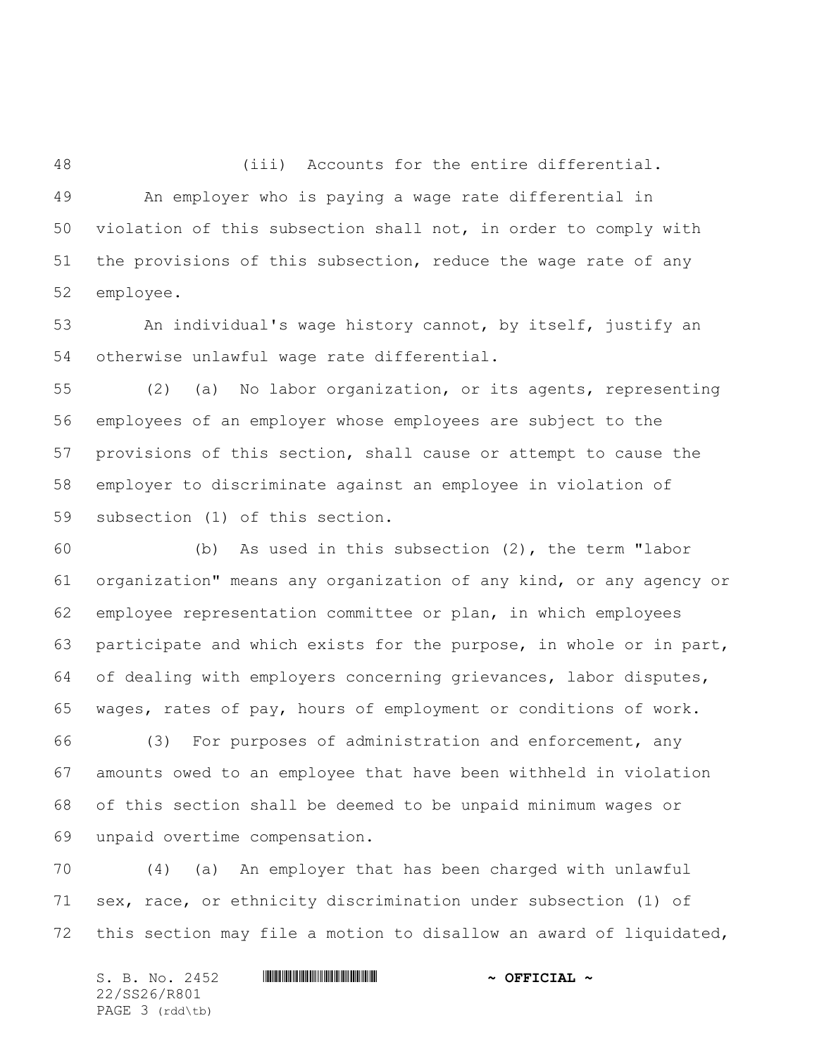(iii) Accounts for the entire differential.

 An employer who is paying a wage rate differential in violation of this subsection shall not, in order to comply with the provisions of this subsection, reduce the wage rate of any employee.

 An individual's wage history cannot, by itself, justify an otherwise unlawful wage rate differential.

 (2) (a) No labor organization, or its agents, representing employees of an employer whose employees are subject to the provisions of this section, shall cause or attempt to cause the employer to discriminate against an employee in violation of subsection (1) of this section.

 (b) As used in this subsection (2), the term "labor organization" means any organization of any kind, or any agency or employee representation committee or plan, in which employees participate and which exists for the purpose, in whole or in part, of dealing with employers concerning grievances, labor disputes, wages, rates of pay, hours of employment or conditions of work.

 (3) For purposes of administration and enforcement, any amounts owed to an employee that have been withheld in violation of this section shall be deemed to be unpaid minimum wages or unpaid overtime compensation.

 (4) (a) An employer that has been charged with unlawful sex, race, or ethnicity discrimination under subsection (1) of this section may file a motion to disallow an award of liquidated,

S. B. No. 2452 \*SS26/R801\* **~ OFFICIAL ~** 22/SS26/R801 PAGE 3 (rdd\tb)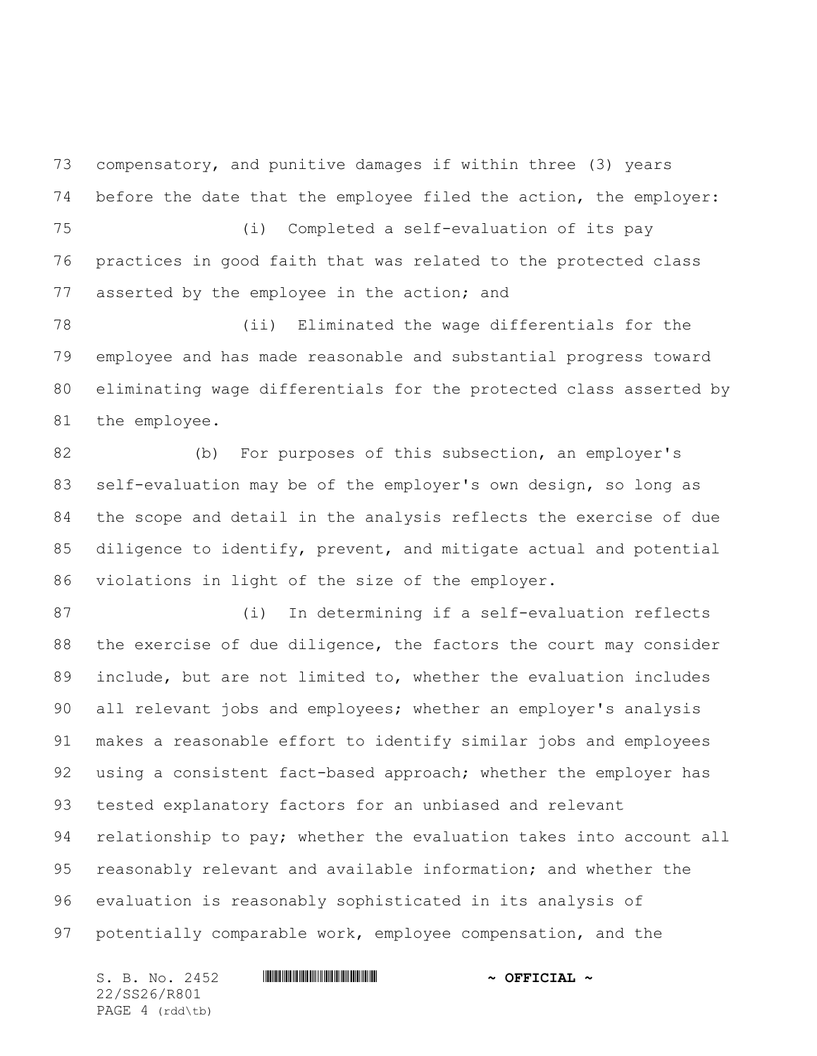compensatory, and punitive damages if within three (3) years before the date that the employee filed the action, the employer: (i) Completed a self-evaluation of its pay

 practices in good faith that was related to the protected class asserted by the employee in the action; and

 (ii) Eliminated the wage differentials for the employee and has made reasonable and substantial progress toward eliminating wage differentials for the protected class asserted by the employee.

 (b) For purposes of this subsection, an employer's self-evaluation may be of the employer's own design, so long as the scope and detail in the analysis reflects the exercise of due diligence to identify, prevent, and mitigate actual and potential violations in light of the size of the employer.

 (i) In determining if a self-evaluation reflects 88 the exercise of due diligence, the factors the court may consider include, but are not limited to, whether the evaluation includes all relevant jobs and employees; whether an employer's analysis makes a reasonable effort to identify similar jobs and employees 92 using a consistent fact-based approach; whether the employer has tested explanatory factors for an unbiased and relevant relationship to pay; whether the evaluation takes into account all reasonably relevant and available information; and whether the evaluation is reasonably sophisticated in its analysis of potentially comparable work, employee compensation, and the

S. B. No. 2452 \*SS26/R801\* **~ OFFICIAL ~** 22/SS26/R801 PAGE 4 (rdd\tb)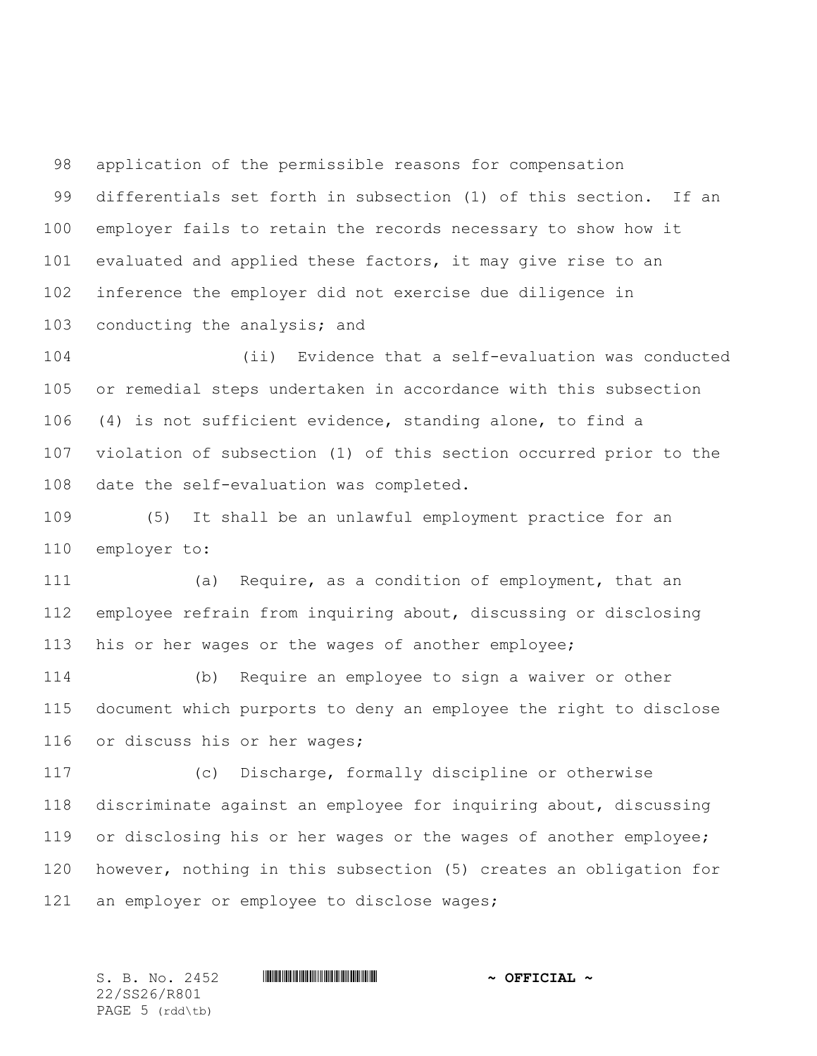application of the permissible reasons for compensation differentials set forth in subsection (1) of this section. If an employer fails to retain the records necessary to show how it evaluated and applied these factors, it may give rise to an inference the employer did not exercise due diligence in conducting the analysis; and

 (ii) Evidence that a self-evaluation was conducted or remedial steps undertaken in accordance with this subsection (4) is not sufficient evidence, standing alone, to find a violation of subsection (1) of this section occurred prior to the date the self-evaluation was completed.

 (5) It shall be an unlawful employment practice for an employer to:

 (a) Require, as a condition of employment, that an employee refrain from inquiring about, discussing or disclosing his or her wages or the wages of another employee;

 (b) Require an employee to sign a waiver or other document which purports to deny an employee the right to disclose or discuss his or her wages;

 (c) Discharge, formally discipline or otherwise discriminate against an employee for inquiring about, discussing 119 or disclosing his or her wages or the wages of another employee; however, nothing in this subsection (5) creates an obligation for an employer or employee to disclose wages;

22/SS26/R801 PAGE 5 (rdd\tb)

S. B. No. 2452 \*SS26/R801\* **~ OFFICIAL ~**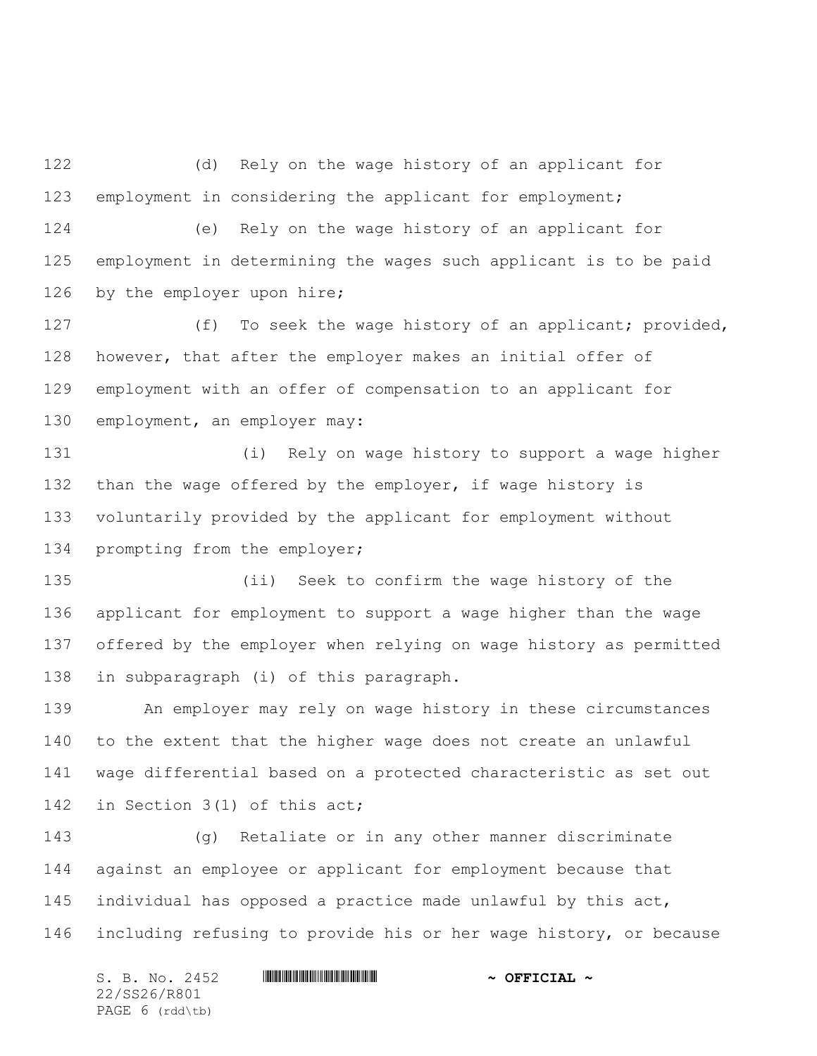(d) Rely on the wage history of an applicant for employment in considering the applicant for employment;

 (e) Rely on the wage history of an applicant for employment in determining the wages such applicant is to be paid by the employer upon hire;

 (f) To seek the wage history of an applicant; provided, however, that after the employer makes an initial offer of employment with an offer of compensation to an applicant for employment, an employer may:

 (i) Rely on wage history to support a wage higher 132 than the wage offered by the employer, if wage history is voluntarily provided by the applicant for employment without prompting from the employer;

 (ii) Seek to confirm the wage history of the applicant for employment to support a wage higher than the wage offered by the employer when relying on wage history as permitted in subparagraph (i) of this paragraph.

 An employer may rely on wage history in these circumstances to the extent that the higher wage does not create an unlawful wage differential based on a protected characteristic as set out in Section 3(1) of this act;

 (g) Retaliate or in any other manner discriminate against an employee or applicant for employment because that individual has opposed a practice made unlawful by this act, including refusing to provide his or her wage history, or because

S. B. No. 2452 \*SS26/R801\* **~ OFFICIAL ~** 22/SS26/R801 PAGE 6 (rdd\tb)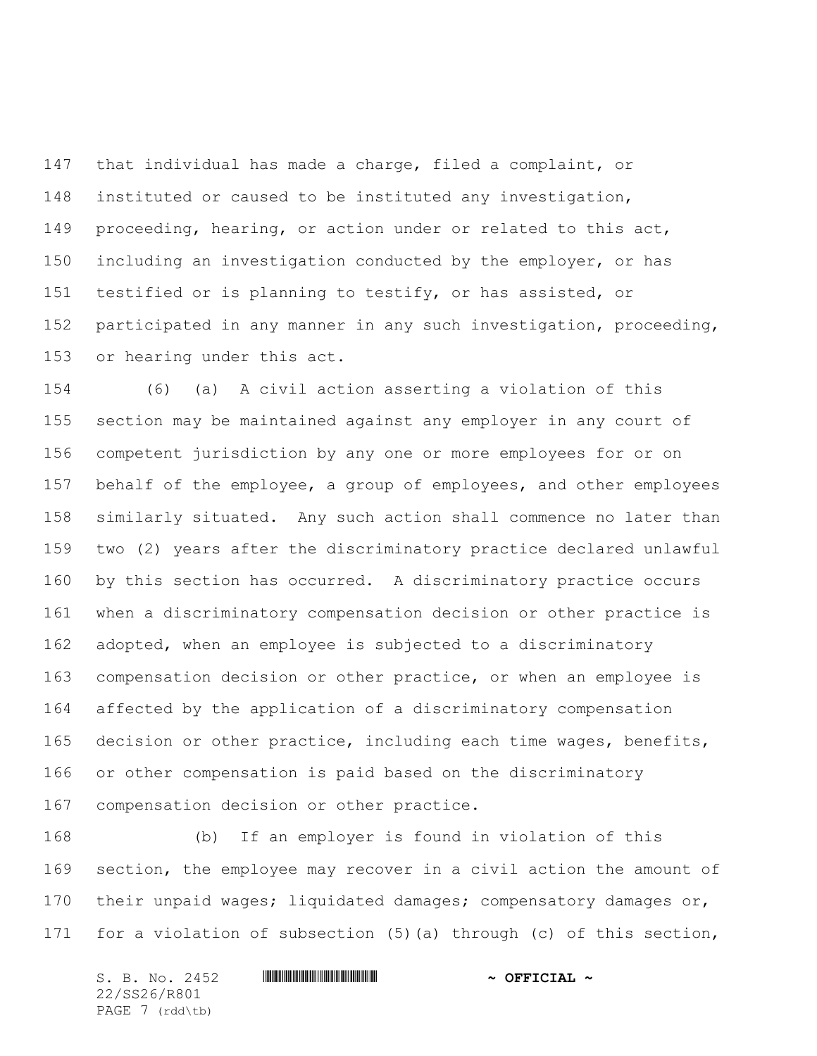that individual has made a charge, filed a complaint, or instituted or caused to be instituted any investigation, proceeding, hearing, or action under or related to this act, including an investigation conducted by the employer, or has testified or is planning to testify, or has assisted, or participated in any manner in any such investigation, proceeding, or hearing under this act.

 (6) (a) A civil action asserting a violation of this section may be maintained against any employer in any court of competent jurisdiction by any one or more employees for or on behalf of the employee, a group of employees, and other employees similarly situated. Any such action shall commence no later than two (2) years after the discriminatory practice declared unlawful by this section has occurred. A discriminatory practice occurs when a discriminatory compensation decision or other practice is adopted, when an employee is subjected to a discriminatory compensation decision or other practice, or when an employee is affected by the application of a discriminatory compensation 165 decision or other practice, including each time wages, benefits, or other compensation is paid based on the discriminatory compensation decision or other practice.

 (b) If an employer is found in violation of this section, the employee may recover in a civil action the amount of 170 their unpaid wages; liquidated damages; compensatory damages or, for a violation of subsection (5)(a) through (c) of this section,

S. B. No. 2452 \*SS26/R801\* **~ OFFICIAL ~** 22/SS26/R801 PAGE 7 (rdd\tb)